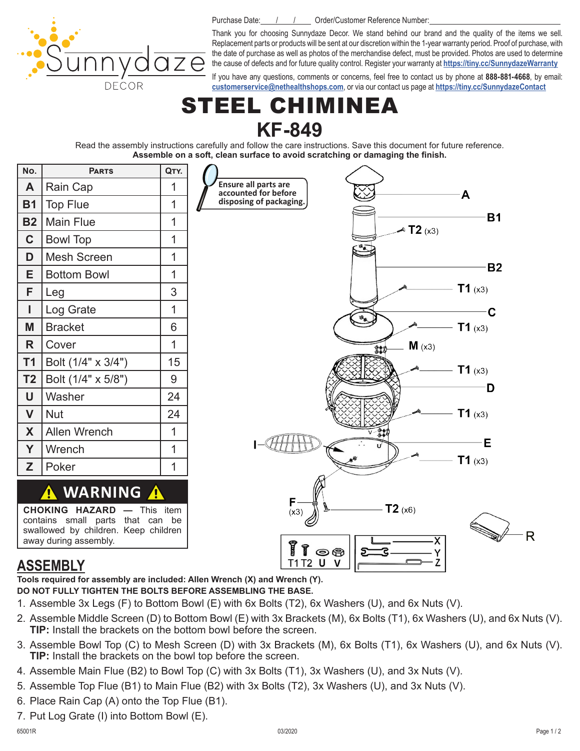Purchase Date: / / / Drder/Customer Reference Number:

DECOR

Thank you for choosing Sunnydaze Decor. We stand behind our brand and the quality of the items we sell. Replacement parts or products will be sent at our discretion within the 1-year warranty period. Proof of purchase, with the date of purchase as well as photos of the merchandise defect, must be provided. Photos are used to determine the cause of defects and for future quality control. Register your warranty at **<https://tiny.cc/SunnydazeWarranty>**

If you have any questions, comments or concerns, feel free to contact us by phone at **888-881-4668**, by email: **[customerservice@nethealthshops.com](mailto:customerservice%40nethealthshops.com?subject=)**, or via our contact us page at **<https://tiny.cc/SunnydazeContact>**

## EEL CHIMINEA **KF-849**

Read the assembly instructions carefully and follow the care instructions. Save this document for future reference. **Assemble on a soft, clean surface to avoid scratching or damaging the finish.** 



#### **ASSEMBLY**

**Tools required for assembly are included: Allen Wrench (X) and Wrench (Y).**

- **DO NOT FULLY TIGHTEN THE BOLTS BEFORE ASSEMBLING THE BASE.**
- 1. Assemble 3x Legs (F) to Bottom Bowl (E) with 6x Bolts (T2), 6x Washers (U), and 6x Nuts (V).
- 2. Assemble Middle Screen (D) to Bottom Bowl (E) with 3x Brackets (M), 6x Bolts (T1), 6x Washers (U), and 6x Nuts (V). **TIP:** Install the brackets on the bottom bowl before the screen.
- 3. Assemble Bowl Top (C) to Mesh Screen (D) with 3x Brackets (M), 6x Bolts (T1), 6x Washers (U), and 6x Nuts (V). **TIP:** Install the brackets on the bowl top before the screen.
- 4. Assemble Main Flue (B2) to Bowl Top (C) with 3x Bolts (T1), 3x Washers (U), and 3x Nuts (V).
- 5. Assemble Top Flue (B1) to Main Flue (B2) with 3x Bolts (T2), 3x Washers (U), and 3x Nuts (V).
- 6. Place Rain Cap (A) onto the Top Flue (B1).
- 7. Put Log Grate (I) into Bottom Bowl (E).